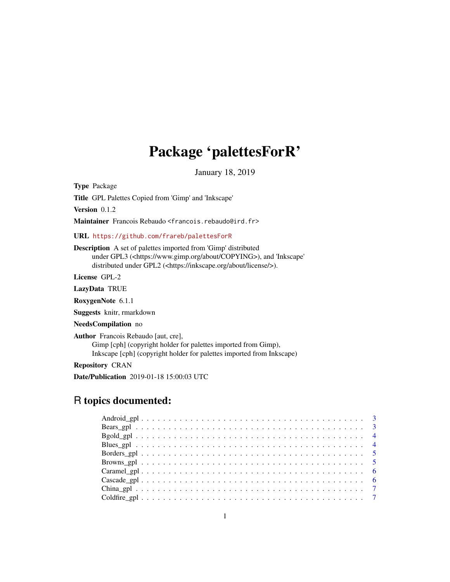# Package 'palettesForR'

January 18, 2019

Type Package

Title GPL Palettes Copied from 'Gimp' and 'Inkscape'

Version 0.1.2

Maintainer Francois Rebaudo <francois.rebaudo@ird.fr>

#### URL <https://github.com/frareb/palettesForR>

Description A set of palettes imported from 'Gimp' distributed under GPL3 (<https://www.gimp.org/about/COPYING>), and 'Inkscape' distributed under GPL2 (<https://inkscape.org/about/license/>).

License GPL-2

LazyData TRUE

RoxygenNote 6.1.1

Suggests knitr, rmarkdown

NeedsCompilation no

Author Francois Rebaudo [aut, cre], Gimp [cph] (copyright holder for palettes imported from Gimp), Inkscape [cph] (copyright holder for palettes imported from Inkscape)

Repository CRAN

Date/Publication 2019-01-18 15:00:03 UTC

# R topics documented: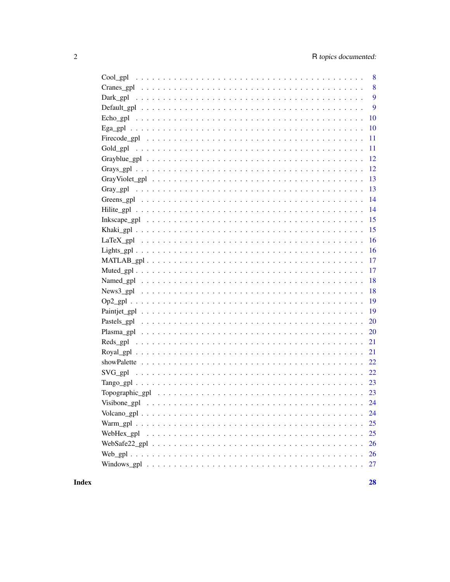|                                                                                                                            | 8  |
|----------------------------------------------------------------------------------------------------------------------------|----|
|                                                                                                                            | 8  |
|                                                                                                                            | 9  |
|                                                                                                                            | 9  |
|                                                                                                                            | 10 |
|                                                                                                                            | 10 |
|                                                                                                                            | 11 |
| Gold_gpl                                                                                                                   | 11 |
|                                                                                                                            | 12 |
|                                                                                                                            | 12 |
|                                                                                                                            | 13 |
|                                                                                                                            | 13 |
|                                                                                                                            | 14 |
|                                                                                                                            | 14 |
| Inkscape_gpl $\dots \dots \dots \dots \dots \dots \dots \dots \dots \dots \dots \dots \dots \dots \dots \dots \dots \dots$ | 15 |
|                                                                                                                            | 15 |
|                                                                                                                            | 16 |
|                                                                                                                            | 16 |
|                                                                                                                            | 17 |
|                                                                                                                            | 17 |
|                                                                                                                            | 18 |
|                                                                                                                            | 18 |
|                                                                                                                            | 19 |
|                                                                                                                            | 19 |
|                                                                                                                            | 20 |
|                                                                                                                            | 20 |
|                                                                                                                            | 21 |
|                                                                                                                            | 21 |
|                                                                                                                            |    |
|                                                                                                                            |    |
|                                                                                                                            | 23 |
|                                                                                                                            | 23 |
|                                                                                                                            | 24 |
|                                                                                                                            |    |
|                                                                                                                            | 25 |
|                                                                                                                            | 25 |
|                                                                                                                            | 26 |
|                                                                                                                            | 26 |
|                                                                                                                            | 27 |
|                                                                                                                            |    |

**Index**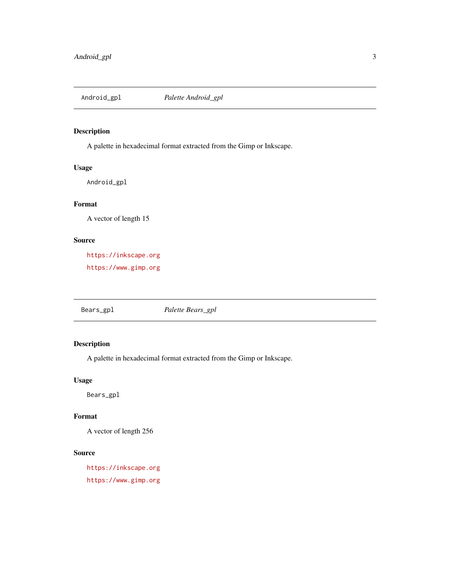<span id="page-2-0"></span>

A palette in hexadecimal format extracted from the Gimp or Inkscape.

## Usage

Android\_gpl

## Format

A vector of length 15

#### Source

<https://inkscape.org> <https://www.gimp.org>

Bears\_gpl *Palette Bears\_gpl*

# Description

A palette in hexadecimal format extracted from the Gimp or Inkscape.

#### Usage

Bears\_gpl

# Format

A vector of length 256

# Source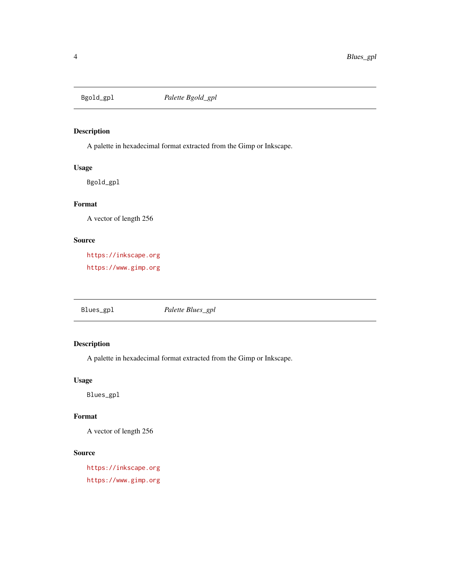<span id="page-3-0"></span>

A palette in hexadecimal format extracted from the Gimp or Inkscape.

## Usage

Bgold\_gpl

## Format

A vector of length 256

#### Source

<https://inkscape.org> <https://www.gimp.org>

Blues\_gpl *Palette Blues\_gpl*

# Description

A palette in hexadecimal format extracted from the Gimp or Inkscape.

#### Usage

Blues\_gpl

# Format

A vector of length 256

# Source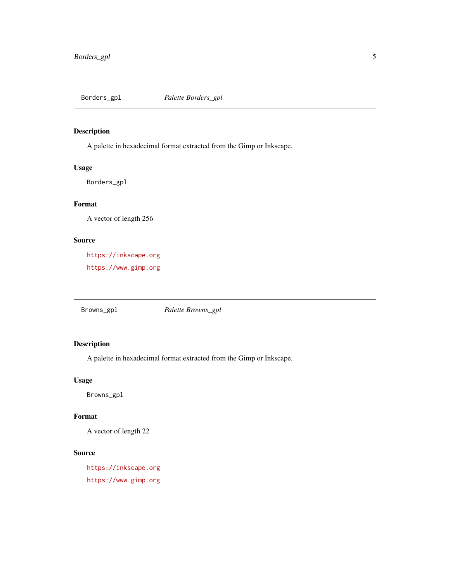<span id="page-4-0"></span>

A palette in hexadecimal format extracted from the Gimp or Inkscape.

## Usage

Borders\_gpl

## Format

A vector of length 256

#### Source

<https://inkscape.org> <https://www.gimp.org>

Browns\_gpl *Palette Browns\_gpl*

# Description

A palette in hexadecimal format extracted from the Gimp or Inkscape.

#### Usage

Browns\_gpl

# Format

A vector of length 22

# Source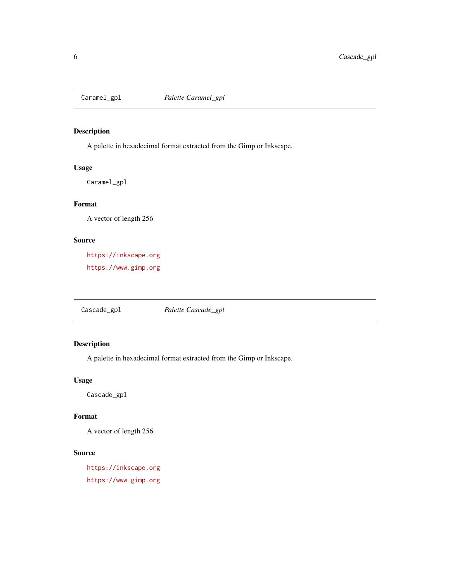<span id="page-5-0"></span>

A palette in hexadecimal format extracted from the Gimp or Inkscape.

## Usage

Caramel\_gpl

## Format

A vector of length 256

#### Source

<https://inkscape.org> <https://www.gimp.org>

Cascade\_gpl *Palette Cascade\_gpl*

# Description

A palette in hexadecimal format extracted from the Gimp or Inkscape.

#### Usage

Cascade\_gpl

# Format

A vector of length 256

# Source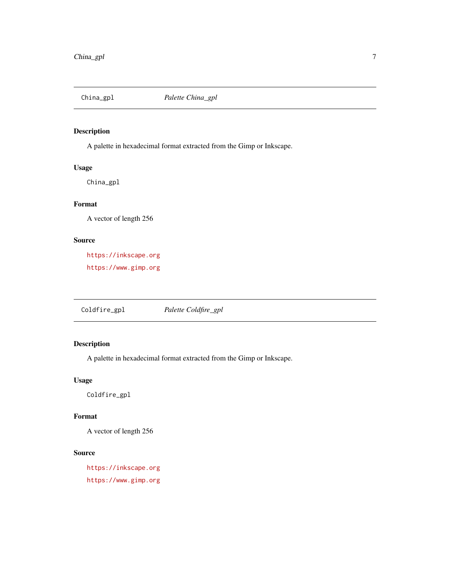<span id="page-6-0"></span>

A palette in hexadecimal format extracted from the Gimp or Inkscape.

## Usage

China\_gpl

# Format

A vector of length 256

#### Source

<https://inkscape.org> <https://www.gimp.org>

Coldfire\_gpl *Palette Coldfire\_gpl*

# Description

A palette in hexadecimal format extracted from the Gimp or Inkscape.

#### Usage

Coldfire\_gpl

# Format

A vector of length 256

# Source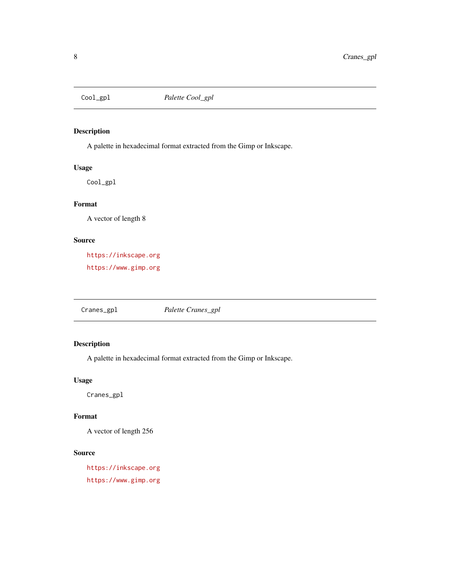<span id="page-7-0"></span>

A palette in hexadecimal format extracted from the Gimp or Inkscape.

## Usage

Cool\_gpl

## Format

A vector of length 8

#### Source

<https://inkscape.org> <https://www.gimp.org>

Cranes\_gpl *Palette Cranes\_gpl*

# Description

A palette in hexadecimal format extracted from the Gimp or Inkscape.

#### Usage

Cranes\_gpl

# Format

A vector of length 256

# Source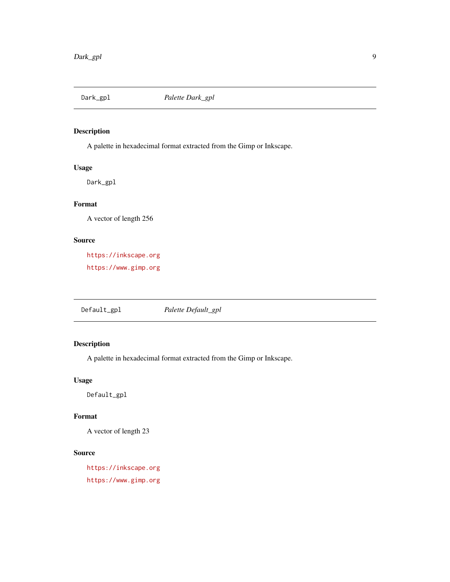<span id="page-8-0"></span>

A palette in hexadecimal format extracted from the Gimp or Inkscape.

## Usage

Dark\_gpl

# Format

A vector of length 256

## Source

<https://inkscape.org> <https://www.gimp.org>

Default\_gpl *Palette Default\_gpl*

# Description

A palette in hexadecimal format extracted from the Gimp or Inkscape.

#### Usage

Default\_gpl

# Format

A vector of length 23

# Source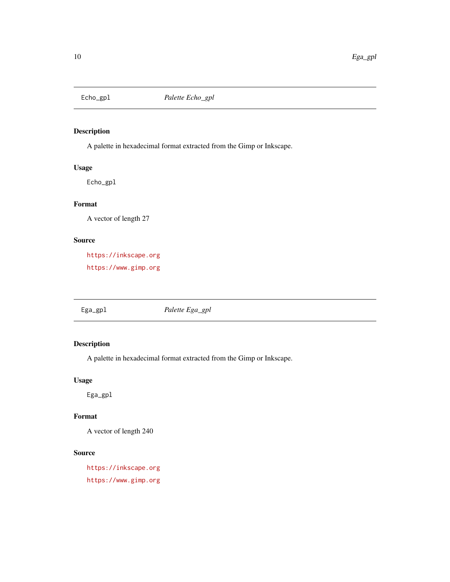<span id="page-9-0"></span>

A palette in hexadecimal format extracted from the Gimp or Inkscape.

## Usage

Echo\_gpl

## Format

A vector of length 27

## Source

<https://inkscape.org> <https://www.gimp.org>

Ega\_gpl *Palette Ega\_gpl*

# Description

A palette in hexadecimal format extracted from the Gimp or Inkscape.

## Usage

Ega\_gpl

# Format

A vector of length 240

# Source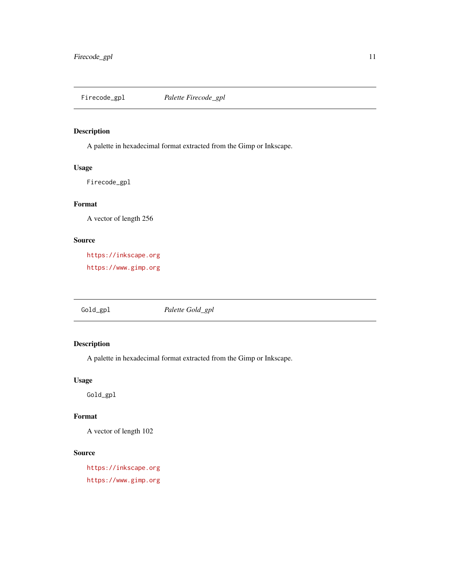<span id="page-10-0"></span>

A palette in hexadecimal format extracted from the Gimp or Inkscape.

## Usage

Firecode\_gpl

## Format

A vector of length 256

#### Source

<https://inkscape.org> <https://www.gimp.org>

Gold\_gpl *Palette Gold\_gpl*

# Description

A palette in hexadecimal format extracted from the Gimp or Inkscape.

#### Usage

Gold\_gpl

# Format

A vector of length 102

# Source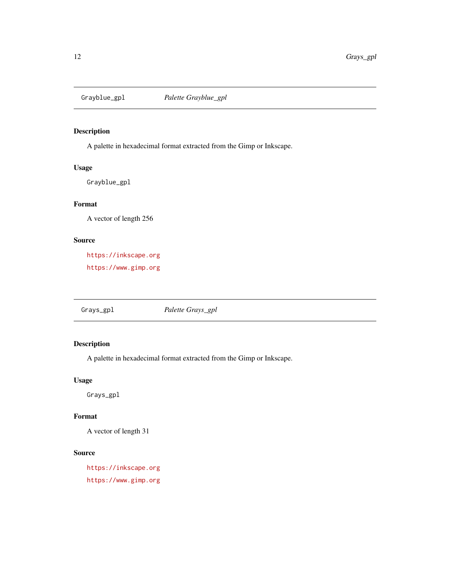<span id="page-11-0"></span>

A palette in hexadecimal format extracted from the Gimp or Inkscape.

## Usage

Grayblue\_gpl

## Format

A vector of length 256

## Source

<https://inkscape.org> <https://www.gimp.org>

Grays\_gpl *Palette Grays\_gpl*

# Description

A palette in hexadecimal format extracted from the Gimp or Inkscape.

## Usage

Grays\_gpl

# Format

A vector of length 31

# Source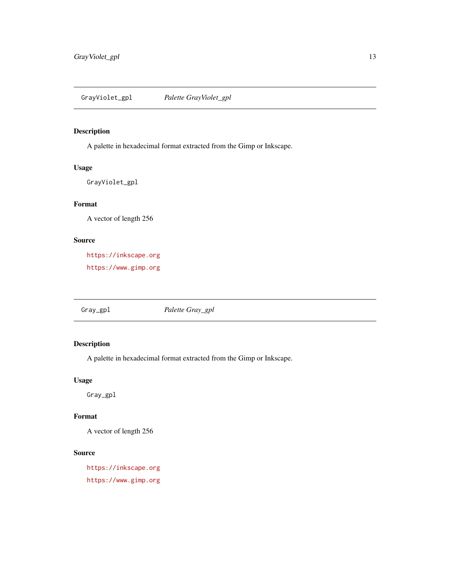<span id="page-12-0"></span>GrayViolet\_gpl *Palette GrayViolet\_gpl*

## Description

A palette in hexadecimal format extracted from the Gimp or Inkscape.

## Usage

GrayViolet\_gpl

## Format

A vector of length 256

#### Source

<https://inkscape.org> <https://www.gimp.org>

Gray\_gpl *Palette Gray\_gpl*

# Description

A palette in hexadecimal format extracted from the Gimp or Inkscape.

## Usage

Gray\_gpl

# Format

A vector of length 256

# Source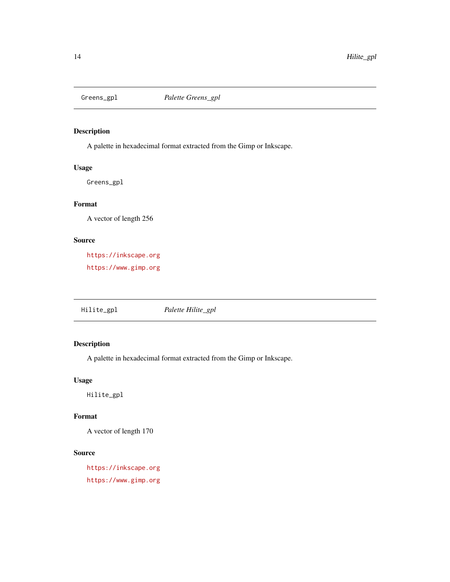<span id="page-13-0"></span>

A palette in hexadecimal format extracted from the Gimp or Inkscape.

## Usage

Greens\_gpl

## Format

A vector of length 256

#### Source

<https://inkscape.org> <https://www.gimp.org>

Hilite\_gpl *Palette Hilite\_gpl*

# Description

A palette in hexadecimal format extracted from the Gimp or Inkscape.

#### Usage

Hilite\_gpl

# Format

A vector of length 170

# Source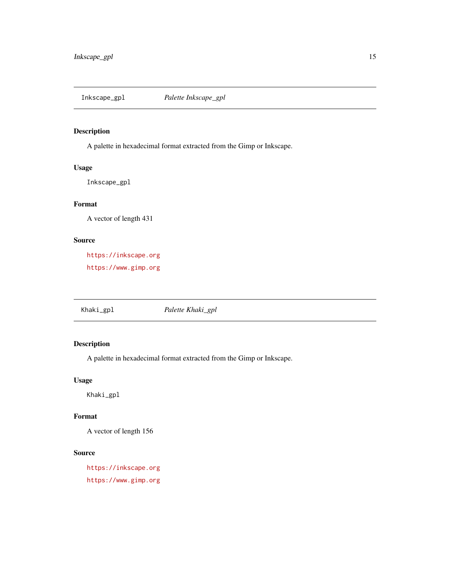<span id="page-14-0"></span>

A palette in hexadecimal format extracted from the Gimp or Inkscape.

## Usage

Inkscape\_gpl

## Format

A vector of length 431

#### Source

<https://inkscape.org> <https://www.gimp.org>

Khaki\_gpl *Palette Khaki\_gpl*

# Description

A palette in hexadecimal format extracted from the Gimp or Inkscape.

#### Usage

Khaki\_gpl

# Format

A vector of length 156

# Source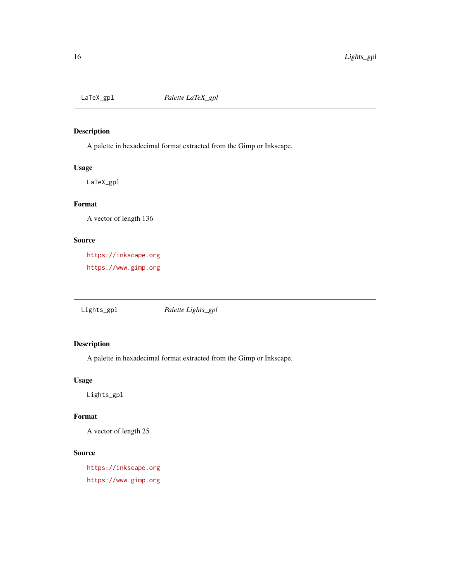<span id="page-15-0"></span>

A palette in hexadecimal format extracted from the Gimp or Inkscape.

## Usage

LaTeX\_gpl

## Format

A vector of length 136

## Source

<https://inkscape.org> <https://www.gimp.org>

Lights\_gpl *Palette Lights\_gpl*

# Description

A palette in hexadecimal format extracted from the Gimp or Inkscape.

## Usage

Lights\_gpl

# Format

A vector of length 25

# Source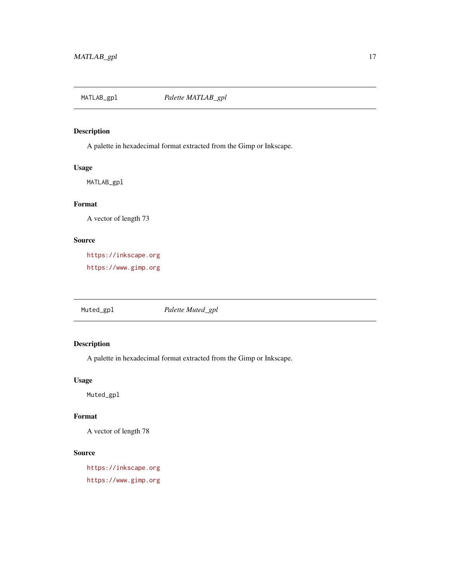<span id="page-16-0"></span>

A palette in hexadecimal format extracted from the Gimp or Inkscape.

## Usage

MATLAB\_gpl

## Format

A vector of length 73

#### Source

<https://inkscape.org> <https://www.gimp.org>

Muted\_gpl *Palette Muted\_gpl*

# Description

A palette in hexadecimal format extracted from the Gimp or Inkscape.

#### Usage

Muted\_gpl

# Format

A vector of length 78

# Source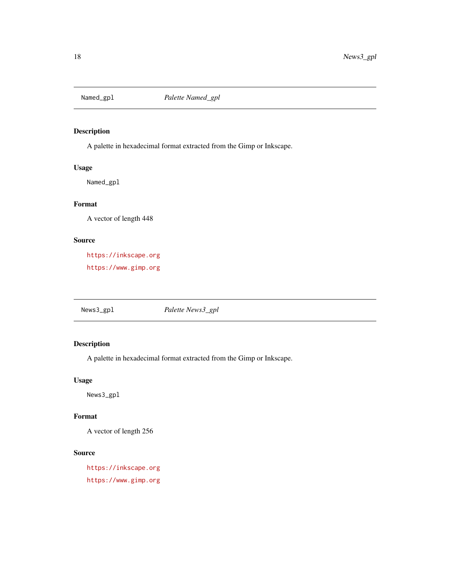<span id="page-17-0"></span>

A palette in hexadecimal format extracted from the Gimp or Inkscape.

## Usage

Named\_gpl

## Format

A vector of length 448

#### Source

<https://inkscape.org> <https://www.gimp.org>

News3\_gpl *Palette News3\_gpl*

# Description

A palette in hexadecimal format extracted from the Gimp or Inkscape.

#### Usage

News3\_gpl

# Format

A vector of length 256

# Source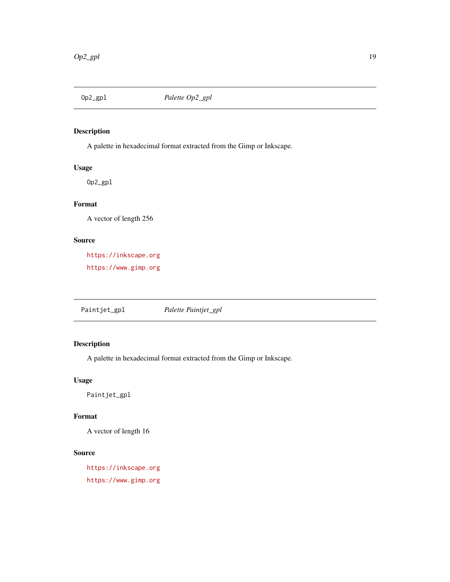<span id="page-18-0"></span>

A palette in hexadecimal format extracted from the Gimp or Inkscape.

## Usage

Op2\_gpl

# Format

A vector of length 256

## Source

<https://inkscape.org> <https://www.gimp.org>

Paintjet\_gpl *Palette Paintjet\_gpl*

# Description

A palette in hexadecimal format extracted from the Gimp or Inkscape.

## Usage

Paintjet\_gpl

# Format

A vector of length 16

# Source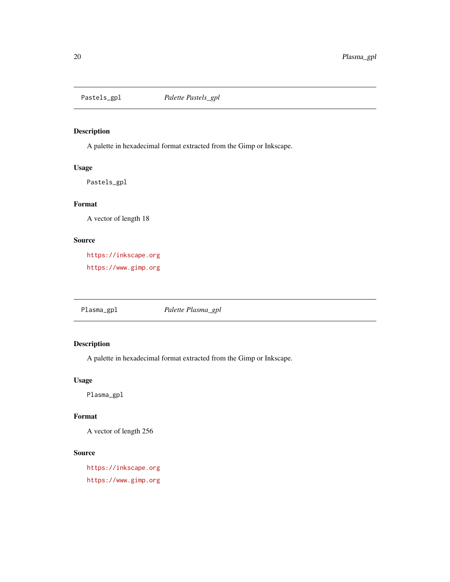<span id="page-19-0"></span>

A palette in hexadecimal format extracted from the Gimp or Inkscape.

## Usage

Pastels\_gpl

## Format

A vector of length 18

#### Source

<https://inkscape.org> <https://www.gimp.org>

Plasma\_gpl *Palette Plasma\_gpl*

# Description

A palette in hexadecimal format extracted from the Gimp or Inkscape.

#### Usage

Plasma\_gpl

# Format

A vector of length 256

# Source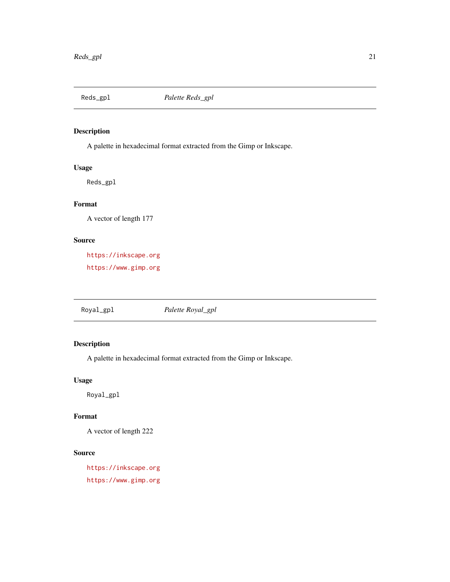<span id="page-20-0"></span>

A palette in hexadecimal format extracted from the Gimp or Inkscape.

## Usage

Reds\_gpl

# Format

A vector of length 177

## Source

<https://inkscape.org> <https://www.gimp.org>

Royal\_gpl *Palette Royal\_gpl*

# Description

A palette in hexadecimal format extracted from the Gimp or Inkscape.

## Usage

Royal\_gpl

# Format

A vector of length 222

# Source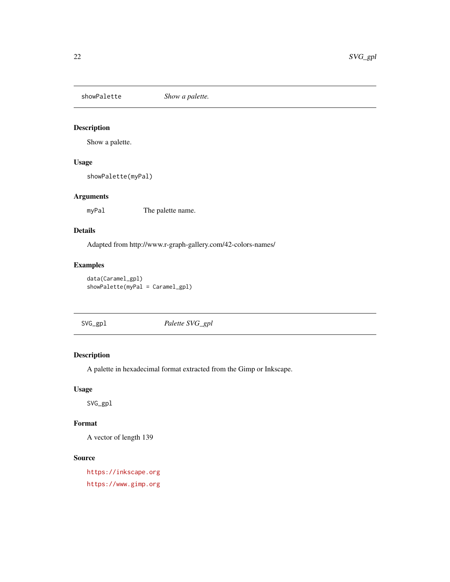<span id="page-21-0"></span>showPalette *Show a palette.*

## Description

Show a palette.

## Usage

showPalette(myPal)

## Arguments

myPal The palette name.

## Details

Adapted from http://www.r-graph-gallery.com/42-colors-names/

## Examples

```
data(Caramel_gpl)
showPalette(myPal = Caramel_gpl)
```
SVG\_gpl *Palette SVG\_gpl*

# Description

A palette in hexadecimal format extracted from the Gimp or Inkscape.

#### Usage

SVG\_gpl

## Format

A vector of length 139

#### Source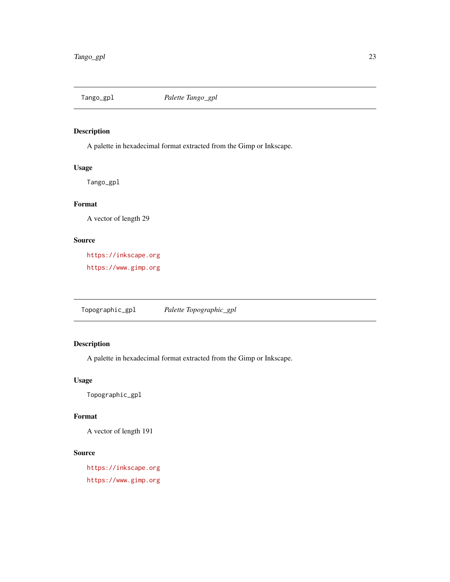<span id="page-22-0"></span>

A palette in hexadecimal format extracted from the Gimp or Inkscape.

## Usage

Tango\_gpl

# Format

A vector of length 29

## Source

<https://inkscape.org> <https://www.gimp.org>

Topographic\_gpl *Palette Topographic\_gpl*

# Description

A palette in hexadecimal format extracted from the Gimp or Inkscape.

## Usage

Topographic\_gpl

# Format

A vector of length 191

# Source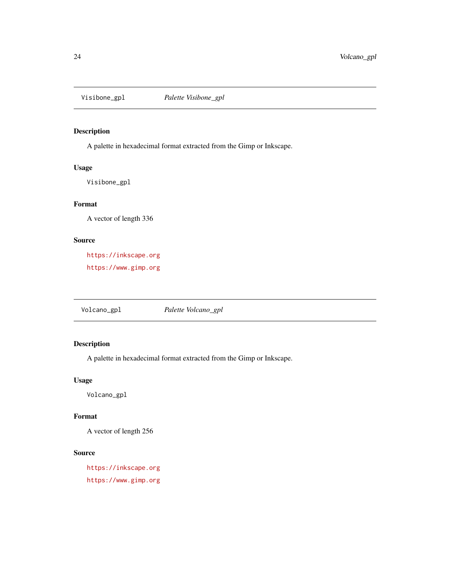<span id="page-23-0"></span>

A palette in hexadecimal format extracted from the Gimp or Inkscape.

## Usage

Visibone\_gpl

## Format

A vector of length 336

#### Source

<https://inkscape.org> <https://www.gimp.org>

Volcano\_gpl *Palette Volcano\_gpl*

# Description

A palette in hexadecimal format extracted from the Gimp or Inkscape.

#### Usage

Volcano\_gpl

# Format

A vector of length 256

# Source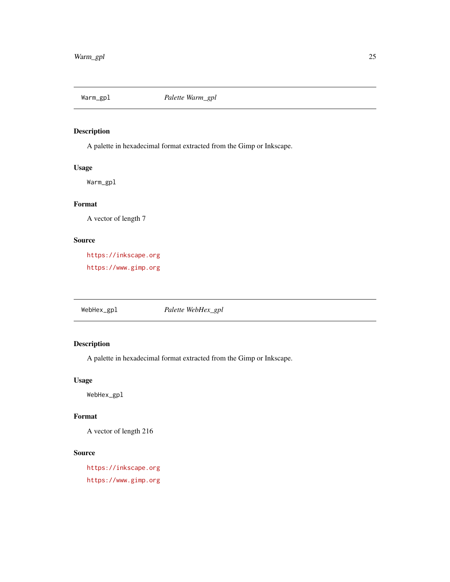<span id="page-24-0"></span>

A palette in hexadecimal format extracted from the Gimp or Inkscape.

## Usage

Warm\_gpl

## Format

A vector of length 7

#### Source

<https://inkscape.org> <https://www.gimp.org>

WebHex\_gpl *Palette WebHex\_gpl*

# Description

A palette in hexadecimal format extracted from the Gimp or Inkscape.

#### Usage

WebHex\_gpl

# Format

A vector of length 216

# Source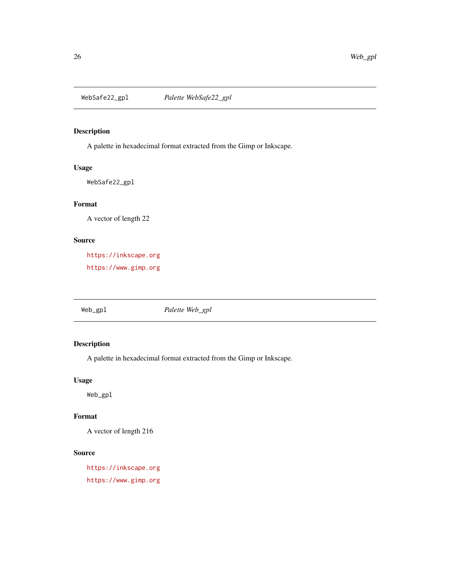<span id="page-25-0"></span>

A palette in hexadecimal format extracted from the Gimp or Inkscape.

## Usage

WebSafe22\_gpl

## Format

A vector of length 22

#### Source

<https://inkscape.org> <https://www.gimp.org>

Web\_gpl *Palette Web\_gpl*

# Description

A palette in hexadecimal format extracted from the Gimp or Inkscape.

#### Usage

Web\_gpl

# Format

A vector of length 216

# Source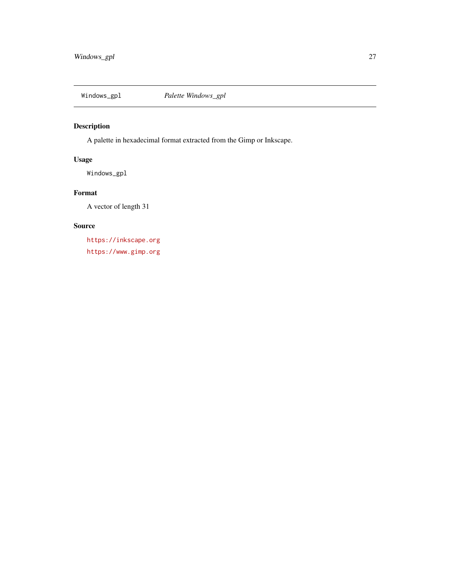<span id="page-26-0"></span>

A palette in hexadecimal format extracted from the Gimp or Inkscape.

## Usage

Windows\_gpl

## Format

A vector of length 31

## Source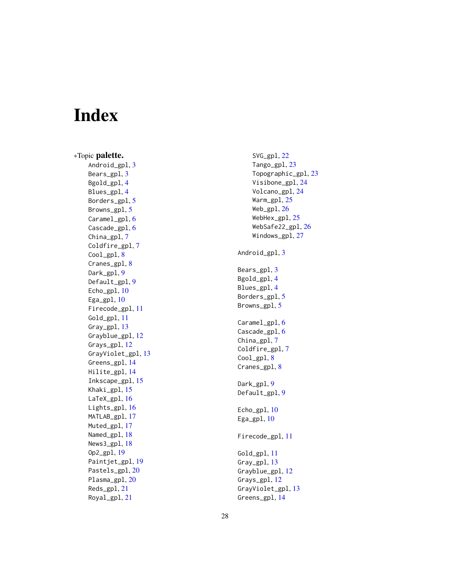# <span id="page-27-0"></span>Index

∗Topic palette. Android\_gpl, [3](#page-2-0) Bears\_gpl, [3](#page-2-0) Bgold\_gpl,[4](#page-3-0) Blues\_gpl,[4](#page-3-0) Borders\_gpl,<mark>[5](#page-4-0)</mark> Browns\_gpl, [5](#page-4-0) Caramel\_gpl, [6](#page-5-0) Cascade\_gpl, [6](#page-5-0) China\_gpl, [7](#page-6-0) Coldfire\_gpl , [7](#page-6-0) Cool\_gpl, [8](#page-7-0) Cranes\_gpl, [8](#page-7-0) Dark\_gpl , [9](#page-8-0) Default\_gpl , [9](#page-8-0) Echo\_gpl, [10](#page-9-0) Ega\_gpl, [10](#page-9-0) Firecode\_gpl , [11](#page-10-0) Gold\_gpl , [11](#page-10-0) Gray\_gpl , [13](#page-12-0) Grayblue\_gpl, [12](#page-11-0) Grays\_gpl , [12](#page-11-0) GrayViolet\_gpl , [13](#page-12-0) Greens\_gpl , [14](#page-13-0) Hilite\_gpl , [14](#page-13-0) Inkscape\_gpl , [15](#page-14-0) Khaki\_gpl, [15](#page-14-0) LaTeX\_gpl, [16](#page-15-0) Lights\_gpl, [16](#page-15-0) MATLAB\_gp1, [17](#page-16-0) Muted\_gpl , [17](#page-16-0) Named\_gpl, [18](#page-17-0) News3\_gpl , [18](#page-17-0) Op2\_gpl , [19](#page-18-0) Paintjet\_gpl , [19](#page-18-0) Pastels\_gpl, [20](#page-19-0) Plasma\_gpl, [20](#page-19-0) Reds\_gpl , [21](#page-20-0) Royal\_gpl , [21](#page-20-0)

SVG\_gpl , [22](#page-21-0) Tango\_gpl, [23](#page-22-0) Topographic\_gpl , [23](#page-22-0) Visibone\_gpl, [24](#page-23-0) Volcano\_gpl, [24](#page-23-0) Warm\_gpl, [25](#page-24-0) Web\_gpl, [26](#page-25-0) WebHex\_gpl , [25](#page-24-0) WebSafe22\_gpl , [26](#page-25-0) Windows\_gpl, [27](#page-26-0) Android\_gpl, [3](#page-2-0) Bears\_gpl, [3](#page-2-0) Bgold\_gpl , [4](#page-3-0) Blues\_gpl , [4](#page-3-0) Borders\_gpl, <mark>[5](#page-4-0)</mark> Browns\_gpl,<mark>[5](#page-4-0)</mark> Caramel\_gpl, <mark>[6](#page-5-0)</mark> Cascade\_gpl, <mark>[6](#page-5-0)</mark> China\_gpl,[7](#page-6-0) Coldfire\_gpl , [7](#page-6-0) Cool\_gpl, [8](#page-7-0) Cranes\_gpl, [8](#page-7-0) Dark\_gpl , [9](#page-8-0) Default\_gpl , [9](#page-8-0) Echo\_gpl, [10](#page-9-0) Ega\_gpl, [10](#page-9-0) Firecode\_gpl , [11](#page-10-0) Gold\_gpl , [11](#page-10-0) Gray\_gpl, [13](#page-12-0) Grayblue\_gpl , [12](#page-11-0) Grays\_gpl, [12](#page-11-0) GrayViolet\_gpl , [13](#page-12-0) Greens\_gpl , [14](#page-13-0)